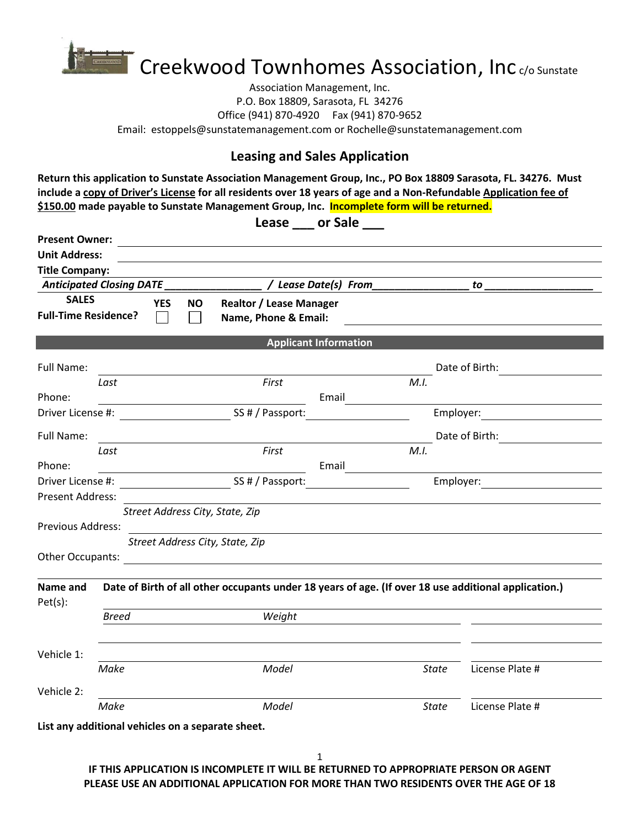

Association Management, Inc. P.O. Box 18809, Sarasota, FL 34276 Office (941) 870-4920 Fax (941) 870-9652 Email: estoppels@sunstatemanagement.com or Rochelle@sunstatemanagement.com

## **Leasing and Sales Application**

**Return this application to Sunstate Association Management Group, Inc., PO Box 18809 Sarasota, FL. 34276. Must include a copy of Driver's License for all residents over 18 years of age and a Non-Refundable Application fee of \$150.00 made payable to Sunstate Management Group, Inc. Incomplete form will be returned.**

|                             |              |                                                                                                      | Lease ____ or Sale           |                                   |  |  |  |  |  |
|-----------------------------|--------------|------------------------------------------------------------------------------------------------------|------------------------------|-----------------------------------|--|--|--|--|--|
| <b>Present Owner:</b>       |              | <u> 1980 - Andrea Andrew Maria (h. 1980).</u>                                                        |                              |                                   |  |  |  |  |  |
| <b>Unit Address:</b>        |              |                                                                                                      |                              |                                   |  |  |  |  |  |
| <b>Title Company:</b>       |              |                                                                                                      |                              |                                   |  |  |  |  |  |
|                             |              | Anticipated Closing DATE _______________                                                             | / Lease Date(s) From         | to                                |  |  |  |  |  |
| <b>SALES</b>                | <b>YES</b>   | <b>Realtor / Lease Manager</b><br>NO.                                                                |                              |                                   |  |  |  |  |  |
| <b>Full-Time Residence?</b> |              | Name, Phone & Email:                                                                                 |                              |                                   |  |  |  |  |  |
|                             |              |                                                                                                      | <b>Applicant Information</b> |                                   |  |  |  |  |  |
| <b>Full Name:</b>           |              |                                                                                                      |                              | Date of Birth:                    |  |  |  |  |  |
|                             | Last         | First                                                                                                | M.I.                         |                                   |  |  |  |  |  |
| Phone:                      |              |                                                                                                      | Email                        |                                   |  |  |  |  |  |
|                             |              | Driver License #: SS # / Passport:                                                                   |                              | Employer: <u>______________</u>   |  |  |  |  |  |
| <b>Full Name:</b>           |              |                                                                                                      |                              | Date of Birth: The Case of Birth: |  |  |  |  |  |
|                             | Last         | First                                                                                                | M.I.                         |                                   |  |  |  |  |  |
| Phone:                      |              | <u> Andrew Maria (1989)</u>                                                                          | Email                        |                                   |  |  |  |  |  |
|                             |              | Driver License #: 1990 [19] SS # / Passport: 1990 [19] Employer:                                     |                              |                                   |  |  |  |  |  |
| Present Address:            |              |                                                                                                      |                              |                                   |  |  |  |  |  |
|                             |              | Street Address City, State, Zip                                                                      |                              |                                   |  |  |  |  |  |
| <b>Previous Address:</b>    |              |                                                                                                      |                              |                                   |  |  |  |  |  |
|                             |              | Street Address City, State, Zip                                                                      |                              |                                   |  |  |  |  |  |
|                             |              |                                                                                                      |                              |                                   |  |  |  |  |  |
| Name and<br>Pet(s):         |              | Date of Birth of all other occupants under 18 years of age. (If over 18 use additional application.) |                              |                                   |  |  |  |  |  |
|                             | <b>Breed</b> | Weight                                                                                               |                              |                                   |  |  |  |  |  |
|                             |              |                                                                                                      |                              |                                   |  |  |  |  |  |
| Vehicle 1:                  |              |                                                                                                      |                              |                                   |  |  |  |  |  |
|                             | Make         | Model                                                                                                | State                        | License Plate #                   |  |  |  |  |  |
| Vehicle 2:                  |              |                                                                                                      |                              |                                   |  |  |  |  |  |
| Make                        |              | Model                                                                                                | State                        | License Plate #                   |  |  |  |  |  |
|                             |              | List any additional vehicles on a separate sheet.                                                    |                              |                                   |  |  |  |  |  |

**IF THIS APPLICATION IS INCOMPLETE IT WILL BE RETURNED TO APPROPRIATE PERSON OR AGENT PLEASE USE AN ADDITIONAL APPLICATION FOR MORE THAN TWO RESIDENTS OVER THE AGE OF 18**